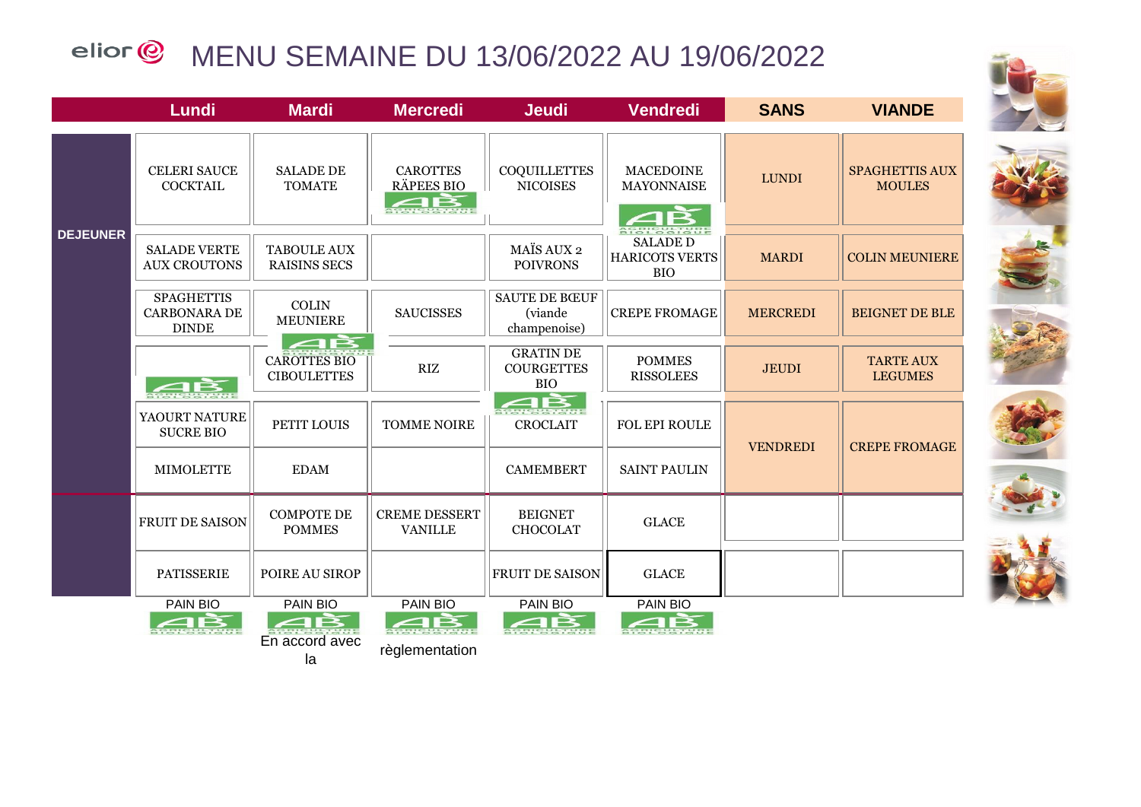## elior @ MENU SEMAINE DU 13/06/2022 AU 19/06/2022









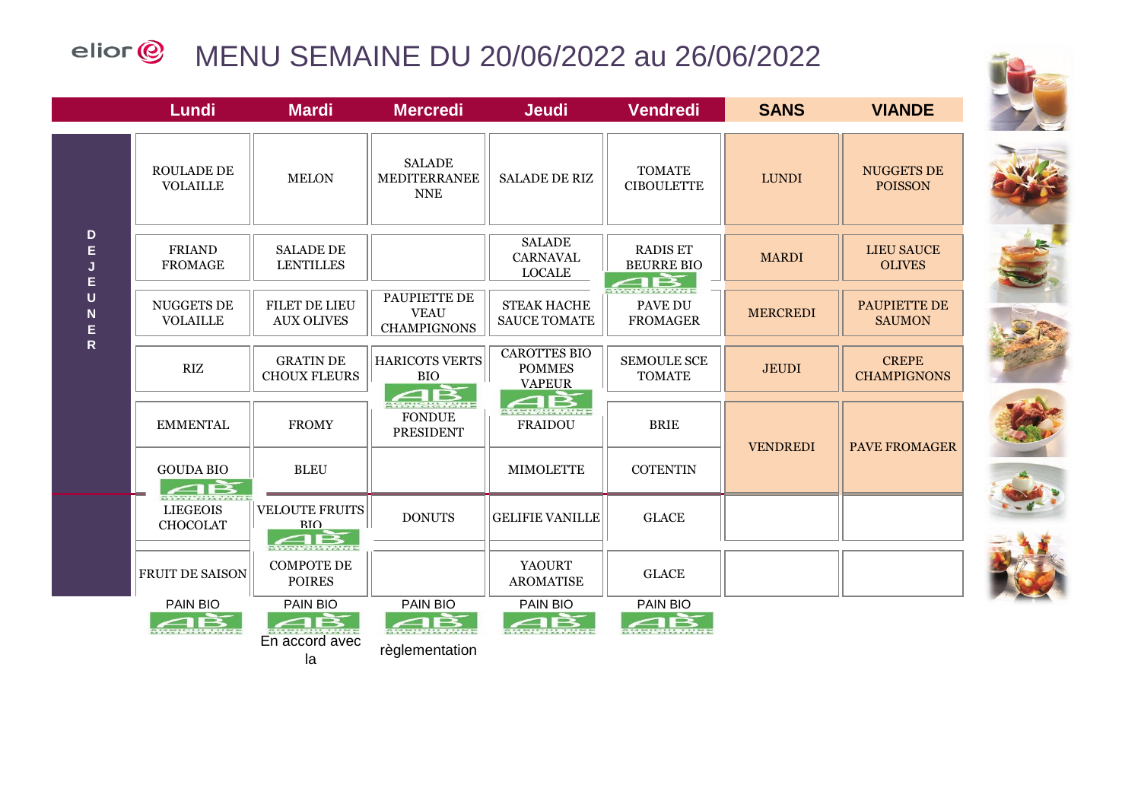## elior<sup>@</sup> MENU SEMAINE DU 20/06/2022 au 26/06/2022



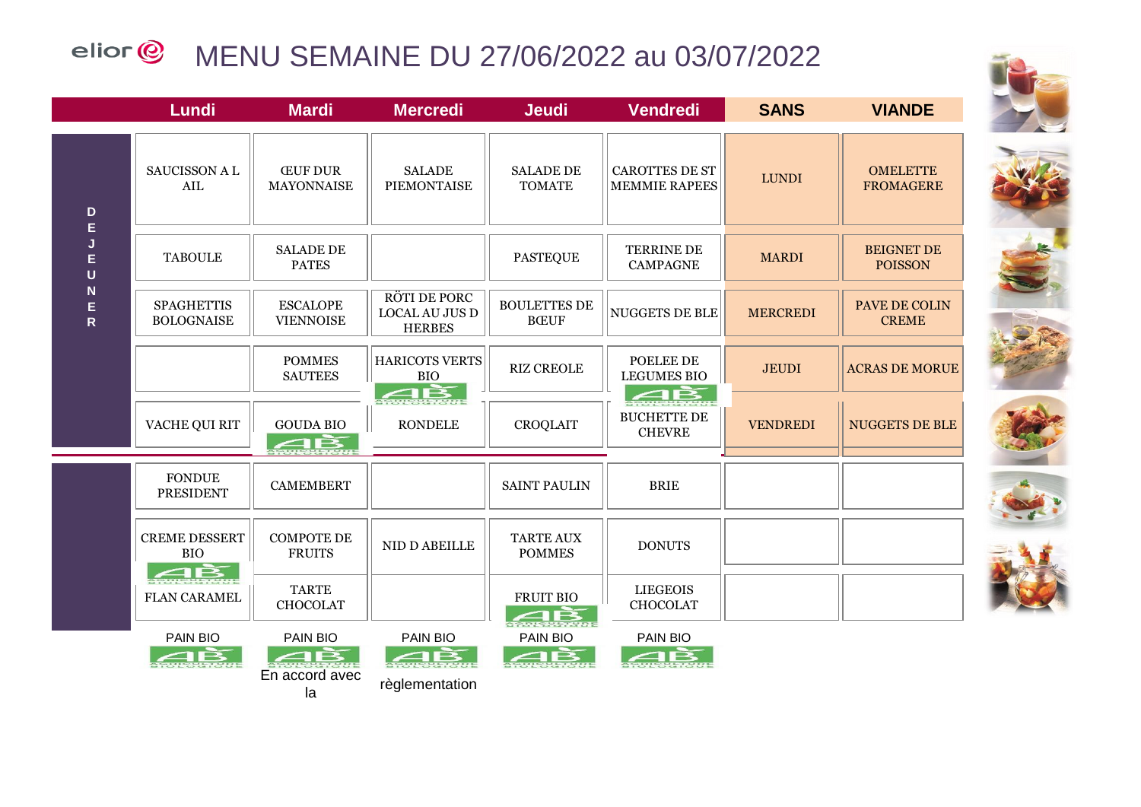## elior<sup>@</sup> MENU SEMAINE DU 27/06/2022 au 03/07/2022